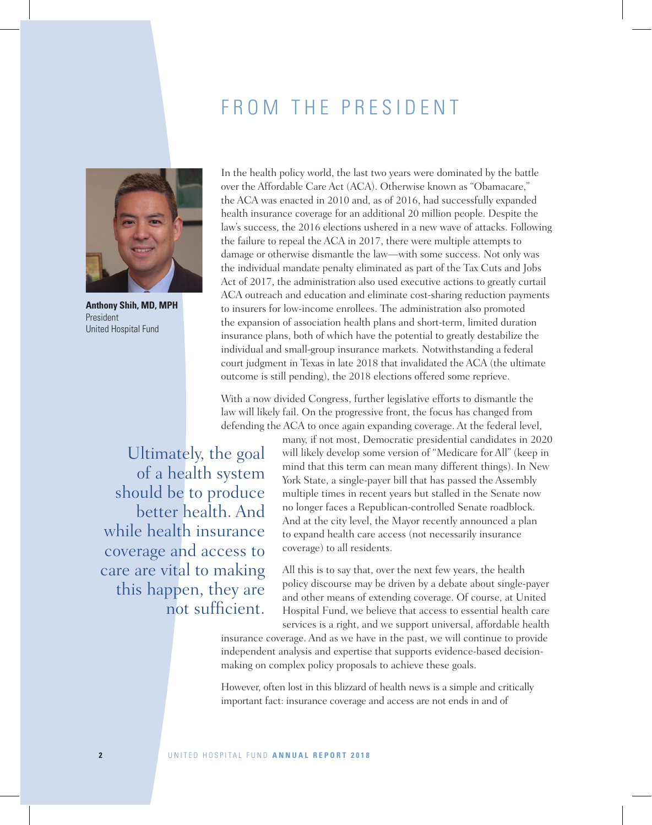## FROM THE PRESIDENT



**Anthony Shih, MD, MPH** President United Hospital Fund

In the health policy world, the last two years were dominated by the battle over the Affordable Care Act (ACA). Otherwise known as "Obamacare," the ACA was enacted in 2010 and, as of 2016, had successfully expanded health insurance coverage for an additional 20 million people. Despite the law's success, the 2016 elections ushered in a new wave of attacks. Following the failure to repeal the ACA in 2017, there were multiple attempts to damage or otherwise dismantle the law—with some success. Not only was the individual mandate penalty eliminated as part of the Tax Cuts and Jobs Act of 2017, the administration also used executive actions to greatly curtail ACA outreach and education and eliminate cost-sharing reduction payments to insurers for low-income enrollees. The administration also promoted the expansion of association health plans and short-term, limited duration insurance plans, both of which have the potential to greatly destabilize the individual and small-group insurance markets. Notwithstanding a federal court judgment in Texas in late 2018 that invalidated the ACA (the ultimate outcome is still pending), the 2018 elections offered some reprieve.

With a now divided Congress, further legislative efforts to dismantle the law will likely fail. On the progressive front, the focus has changed from defending the ACA to once again expanding coverage. At the federal level,

Ultimately, the goal of a health system should be to produce better health. And while health insurance coverage and access to care are vital to making this happen, they are not sufficient.

many, if not most, Democratic presidential candidates in 2020 will likely develop some version of "Medicare for All" (keep in mind that this term can mean many different things). In New York State, a single-payer bill that has passed the Assembly multiple times in recent years but stalled in the Senate now no longer faces a Republican-controlled Senate roadblock. And at the city level, the Mayor recently announced a plan to expand health care access (not necessarily insurance coverage) to all residents.

All this is to say that, over the next few years, the health policy discourse may be driven by a debate about single-payer and other means of extending coverage. Of course, at United Hospital Fund, we believe that access to essential health care services is a right, and we support universal, affordable health

insurance coverage. And as we have in the past, we will continue to provide independent analysis and expertise that supports evidence-based decisionmaking on complex policy proposals to achieve these goals.

However, often lost in this blizzard of health news is a simple and critically important fact: insurance coverage and access are not ends in and of